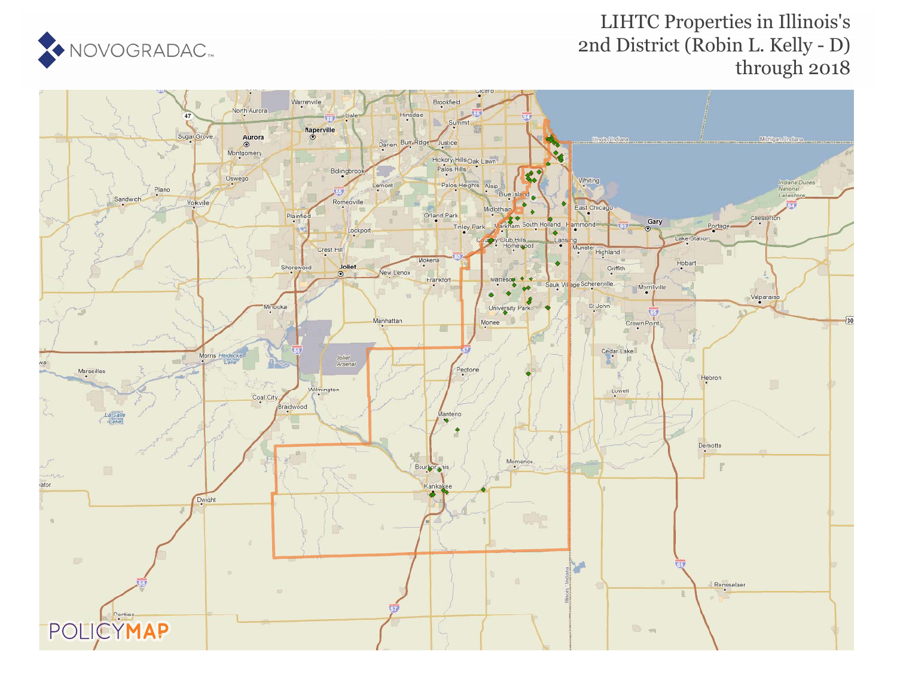

### LIHTC Properties in Illinois's 2nd District (Robin L. Kelly - D) through 2018

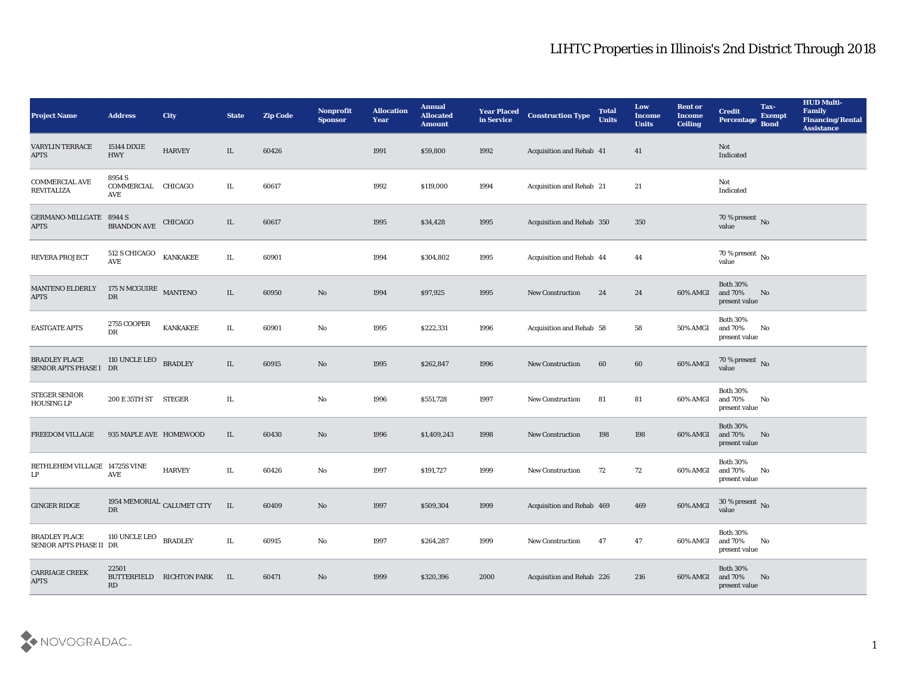| <b>Project Name</b>                             | <b>Address</b>                      | <b>City</b>                         | <b>State</b> | <b>Zip Code</b> | Nonprofit<br><b>Sponsor</b> | <b>Allocation</b><br>Year | <b>Annual</b><br><b>Allocated</b><br><b>Amount</b> | <b>Year Placed</b><br>in Service | <b>Construction Type</b>  | <b>Total</b><br><b>Units</b> | Low<br><b>Income</b><br><b>Units</b> | <b>Rent or</b><br><b>Income</b><br><b>Ceiling</b> | <b>Credit</b><br>Percentage                    | Tax-<br><b>Exempt</b><br><b>Bond</b> | <b>HUD Multi-</b><br>Family<br><b>Financing/Rental</b><br><b>Assistance</b> |
|-------------------------------------------------|-------------------------------------|-------------------------------------|--------------|-----------------|-----------------------------|---------------------------|----------------------------------------------------|----------------------------------|---------------------------|------------------------------|--------------------------------------|---------------------------------------------------|------------------------------------------------|--------------------------------------|-----------------------------------------------------------------------------|
| <b>VARYLIN TERRACE</b><br><b>APTS</b>           | <b>15144 DIXIE</b><br><b>HWY</b>    | <b>HARVEY</b>                       | IL           | 60426           |                             | 1991                      | \$59,800                                           | 1992                             | Acquisition and Rehab 41  |                              | 41                                   |                                                   | Not<br>Indicated                               |                                      |                                                                             |
| <b>COMMERCIAL AVE</b><br><b>REVITALIZA</b>      | 8954 S<br>COMMERCIAL CHICAGO<br>AVE |                                     | IL.          | 60617           |                             | 1992                      | \$119,000                                          | 1994                             | Acquisition and Rehab 21  |                              | 21                                   |                                                   | Not<br>Indicated                               |                                      |                                                                             |
| GERMANO-MILLGATE 8944 S<br><b>APTS</b>          | <b>BRANDON AVE</b>                  | CHICAGO                             | IL           | 60617           |                             | 1995                      | \$34,428                                           | 1995                             | Acquisition and Rehab 350 |                              | 350                                  |                                                   | 70 % present No<br>value                       |                                      |                                                                             |
| <b>REVERA PROJECT</b>                           | 512 S CHICAGO<br>AVE                | <b>KANKAKEE</b>                     | IL           | 60901           |                             | 1994                      | \$304,802                                          | 1995                             | Acquisition and Rehab 44  |                              | 44                                   |                                                   | $70\,\%$ present $\,$ No value                 |                                      |                                                                             |
| <b>MANTENO ELDERLY</b><br><b>APTS</b>           | 175 N MCGUIRE MANTENO<br>DR         |                                     | IL           | 60950           | No                          | 1994                      | \$97,925                                           | 1995                             | <b>New Construction</b>   | 24                           | 24                                   | 60% AMGI                                          | <b>Both 30%</b><br>and 70%<br>present value    | No                                   |                                                                             |
| <b>EASTGATE APTS</b>                            | 2755 COOPER<br>DR                   | <b>KANKAKEE</b>                     | IL.          | 60901           | No                          | 1995                      | \$222,331                                          | 1996                             | Acquisition and Rehab 58  |                              | 58                                   | 50% AMGI                                          | <b>Both 30%</b><br>and 70%<br>present value    | No                                   |                                                                             |
| <b>BRADLEY PLACE</b><br>SENIOR APTS PHASE I DR  | 110 UNCLE LEO                       | <b>BRADLEY</b>                      | IL           | 60915           | No                          | 1995                      | \$262,847                                          | 1996                             | <b>New Construction</b>   | 60                           | 60                                   | 60% AMGI                                          | $70\,\%$ present $\,$ No value                 |                                      |                                                                             |
| STEGER SENIOR<br><b>HOUSING LP</b>              | 200 E 35TH ST STEGER                |                                     | IL.          |                 | No                          | 1996                      | \$551,728                                          | 1997                             | <b>New Construction</b>   | 81                           | 81                                   | 60% AMGI                                          | <b>Both 30%</b><br>and 70%<br>present value    | No                                   |                                                                             |
| FREEDOM VILLAGE                                 | 935 MAPLE AVE HOMEWOOD              |                                     | IL           | 60430           | No                          | 1996                      | \$1,409,243                                        | 1998                             | <b>New Construction</b>   | 198                          | 198                                  | 60% AMGI                                          | <b>Both 30%</b><br>and $70\%$<br>present value | No                                   |                                                                             |
| BETHLEHEM VILLAGE 14725S VINE<br>LP             | AVE                                 | <b>HARVEY</b>                       | IL.          | 60426           | No                          | 1997                      | \$191,727                                          | 1999                             | <b>New Construction</b>   | 72                           | 72                                   | 60% AMGI                                          | <b>Both 30%</b><br>and 70%<br>present value    | No                                   |                                                                             |
| <b>GINGER RIDGE</b>                             | DR                                  | 1954 MEMORIAL $_{\rm CALUMET}$ CITY | IL           | 60409           | No                          | 1997                      | \$509,304                                          | 1999                             | Acquisition and Rehab 469 |                              | 469                                  | 60% AMGI                                          | 30 % present No<br>value                       |                                      |                                                                             |
| <b>BRADLEY PLACE</b><br>SENIOR APTS PHASE II DR | 110 UNCLE LEO                       | <b>BRADLEY</b>                      | IL.          | 60915           | $\mathbf{No}$               | 1997                      | \$264,287                                          | 1999                             | <b>New Construction</b>   | 47                           | 47                                   | 60% AMGI                                          | <b>Both 30%</b><br>and $70\%$<br>present value | No                                   |                                                                             |
| CARRIAGE CREEK<br><b>APTS</b>                   | 22501<br>RD                         | BUTTERFIELD RICHTON PARK            | IL           | 60471           | $\mathbf{N}\mathbf{o}$      | 1999                      | \$320,396                                          | 2000                             | Acquisition and Rehab 226 |                              | 216                                  | 60% AMGI                                          | <b>Both 30%</b><br>and 70%<br>present value    | No                                   |                                                                             |

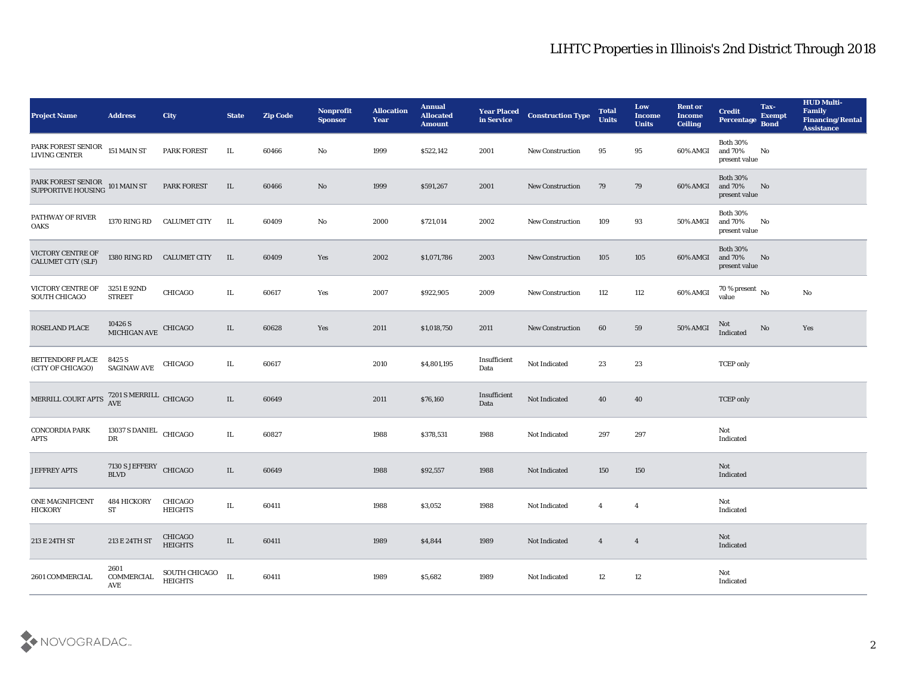| <b>Project Name</b>                                                   | <b>Address</b>                                                   | City                            | <b>State</b> | <b>Zip Code</b> | Nonprofit<br><b>Sponsor</b> | <b>Allocation</b><br><b>Year</b> | <b>Annual</b><br><b>Allocated</b><br><b>Amount</b> | <b>Year Placed</b><br>in Service | <b>Construction Type</b> | <b>Total</b><br><b>Units</b> | Low<br><b>Income</b><br><b>Units</b> | <b>Rent or</b><br><b>Income</b><br><b>Ceiling</b> | <b>Credit</b><br>Percentage                 | Tax-<br><b>Exempt</b><br><b>Bond</b> | <b>HUD Multi-</b><br>Family<br><b>Financing/Rental</b><br><b>Assistance</b> |
|-----------------------------------------------------------------------|------------------------------------------------------------------|---------------------------------|--------------|-----------------|-----------------------------|----------------------------------|----------------------------------------------------|----------------------------------|--------------------------|------------------------------|--------------------------------------|---------------------------------------------------|---------------------------------------------|--------------------------------------|-----------------------------------------------------------------------------|
| PARK FOREST SENIOR 151 MAIN ST<br>LIVING CENTER                       |                                                                  | PARK FOREST                     | IL           | 60466           | No                          | 1999                             | \$522,142                                          | 2001                             | <b>New Construction</b>  | 95                           | 95                                   | 60% AMGI                                          | <b>Both 30%</b><br>and 70%<br>present value | No                                   |                                                                             |
| PARK FOREST SENIOR 101 MAIN ST<br>SUPPORTIVE HOUSING 101 MAIN ST      |                                                                  | <b>PARK FOREST</b>              | IL           | 60466           | No                          | 1999                             | \$591,267                                          | 2001                             | <b>New Construction</b>  | 79                           | 79                                   | 60% AMGI                                          | <b>Both 30%</b><br>and 70%<br>present value | No                                   |                                                                             |
| PATHWAY OF RIVER<br><b>OAKS</b>                                       | 1370 RING RD                                                     | <b>CALUMET CITY</b>             | IL           | 60409           | No                          | 2000                             | \$721,014                                          | 2002                             | <b>New Construction</b>  | 109                          | 93                                   | 50% AMGI                                          | <b>Both 30%</b><br>and 70%<br>present value | No                                   |                                                                             |
| VICTORY CENTRE OF<br><b>CALUMET CITY (SLF)</b>                        | 1380 RING RD                                                     | <b>CALUMET CITY</b>             | IL           | 60409           | Yes                         | 2002                             | \$1,071,786                                        | 2003                             | <b>New Construction</b>  | 105                          | 105                                  | 60% AMGI                                          | <b>Both 30%</b><br>and 70%<br>present value | No                                   |                                                                             |
| VICTORY CENTRE OF<br>SOUTH CHICAGO                                    | 3251 E 92ND<br><b>STREET</b>                                     | CHICAGO                         | IL           | 60617           | Yes                         | 2007                             | \$922,905                                          | 2009                             | <b>New Construction</b>  | 112                          | 112                                  | 60% AMGI                                          | $70\,\%$ present $\,$ No value              |                                      | No                                                                          |
| ROSELAND PLACE                                                        | $10426$ S $$\,$ $\,$ CHICAGO $\,$ MICHIGAN AVE $\,$ CHICAGO $\,$ |                                 | IL           | 60628           | Yes                         | 2011                             | \$1,018,750                                        | 2011                             | <b>New Construction</b>  | 60                           | 59                                   | <b>50% AMGI</b>                                   | Not<br>Indicated                            | No                                   | Yes                                                                         |
| BETTENDORF PLACE<br>(CITY OF CHICAGO)                                 | 8425 S<br><b>SAGINAW AVE</b>                                     | CHICAGO                         | IL           | 60617           |                             | 2010                             | \$4,801,195                                        | Insufficient<br>Data             | Not Indicated            | 23                           | 23                                   |                                                   | <b>TCEP</b> only                            |                                      |                                                                             |
| MERRILL COURT APTS $\frac{\text{7201 S MERRILL}}{\text{AVE}}$ CHICAGO |                                                                  |                                 | IL           | 60649           |                             | 2011                             | \$76,160                                           | Insufficient<br>Data             | Not Indicated            | 40                           | 40                                   |                                                   | <b>TCEP</b> only                            |                                      |                                                                             |
| <b>CONCORDIA PARK</b><br>APTS                                         | 13037 S DANIEL<br>DR                                             | CHICAGO                         | IL           | 60827           |                             | 1988                             | \$378,531                                          | 1988                             | Not Indicated            | 297                          | 297                                  |                                                   | Not<br>Indicated                            |                                      |                                                                             |
| <b>JEFFREY APTS</b>                                                   | 7130 S JEFFERY CHICAGO<br><b>BLVD</b>                            |                                 | IL           | 60649           |                             | 1988                             | \$92,557                                           | 1988                             | Not Indicated            | 150                          | 150                                  |                                                   | Not<br>Indicated                            |                                      |                                                                             |
| ONE MAGNIFICENT<br><b>HICKORY</b>                                     | 484 HICKORY<br>ST                                                | CHICAGO<br><b>HEIGHTS</b>       | IL           | 60411           |                             | 1988                             | \$3,052                                            | 1988                             | Not Indicated            | $\overline{4}$               | $\overline{4}$                       |                                                   | Not<br>Indicated                            |                                      |                                                                             |
| 213 E 24TH ST                                                         | 213 E 24TH ST                                                    | CHICAGO<br><b>HEIGHTS</b>       | $\rm IL$     | 60411           |                             | 1989                             | \$4,844                                            | 1989                             | Not Indicated            | $\overline{4}$               | $\overline{4}$                       |                                                   | $\operatorname{\bf Not}$<br>Indicated       |                                      |                                                                             |
| 2601 COMMERCIAL                                                       | 2601<br>COMMERCIAL<br>AVE                                        | SOUTH CHICAGO<br><b>HEIGHTS</b> | IL           | 60411           |                             | 1989                             | \$5,682                                            | 1989                             | Not Indicated            | 12                           | 12                                   |                                                   | Not<br>Indicated                            |                                      |                                                                             |

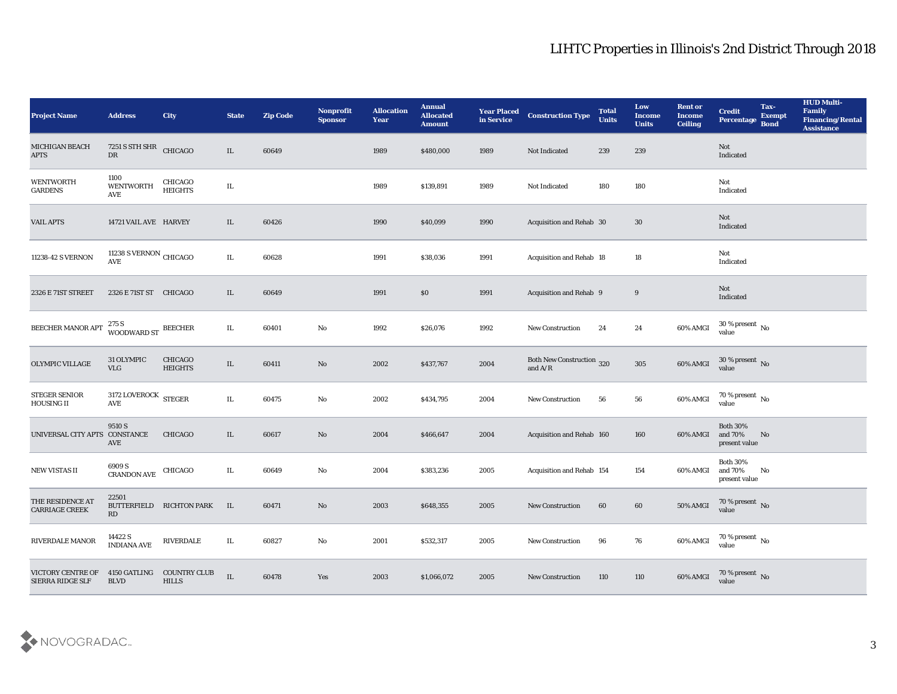| <b>Project Name</b>                       | <b>Address</b>                                           | City                                | <b>State</b> | <b>Zip Code</b> | Nonprofit<br><b>Sponsor</b> | <b>Allocation</b><br>Year | <b>Annual</b><br><b>Allocated</b><br><b>Amount</b> | <b>Year Placed</b><br>in Service | <b>Construction Type</b>                      | <b>Total</b><br><b>Units</b> | Low<br><b>Income</b><br><b>Units</b> | <b>Rent or</b><br><b>Income</b><br><b>Ceiling</b> | <b>Credit</b><br>Percentage Bond               | Tax-<br><b>Exempt</b> | <b>HUD Multi-</b><br>Family<br><b>Financing/Rental</b><br><b>Assistance</b> |
|-------------------------------------------|----------------------------------------------------------|-------------------------------------|--------------|-----------------|-----------------------------|---------------------------|----------------------------------------------------|----------------------------------|-----------------------------------------------|------------------------------|--------------------------------------|---------------------------------------------------|------------------------------------------------|-----------------------|-----------------------------------------------------------------------------|
| MICHIGAN BEACH<br><b>APTS</b>             | 7251 S STH SHR CHICAGO<br>DR                             |                                     | $\rm IL$     | 60649           |                             | 1989                      | \$480,000                                          | 1989                             | Not Indicated                                 | 239                          | 239                                  |                                                   | Not<br>Indicated                               |                       |                                                                             |
| <b>WENTWORTH</b><br><b>GARDENS</b>        | 1100<br><b>WENTWORTH</b><br>$\operatorname{AVE}$         | CHICAGO<br><b>HEIGHTS</b>           | IL           |                 |                             | 1989                      | \$139,891                                          | 1989                             | Not Indicated                                 | 180                          | 180                                  |                                                   | Not<br>Indicated                               |                       |                                                                             |
| <b>VAIL APTS</b>                          | 14721 VAIL AVE HARVEY                                    |                                     | IL           | 60426           |                             | 1990                      | \$40,099                                           | 1990                             | Acquisition and Rehab 30                      |                              | 30                                   |                                                   | Not<br>Indicated                               |                       |                                                                             |
| 11238-42 S VERNON                         | 11238 S VERNON $\,$ CHICAGO $\,$<br>$\operatorname{AVE}$ |                                     | IL           | 60628           |                             | 1991                      | \$38,036                                           | 1991                             | Acquisition and Rehab 18                      |                              | 18                                   |                                                   | Not<br>Indicated                               |                       |                                                                             |
| 2326 E 71ST STREET                        | 2326 E 71ST ST CHICAGO                                   |                                     | IL           | 60649           |                             | 1991                      | \$0                                                | 1991                             | Acquisition and Rehab 9                       |                              | 9                                    |                                                   | Not<br>Indicated                               |                       |                                                                             |
| BEECHER MANOR APT                         | 275 S<br>WOODWARD ST BEECHER                             |                                     | IL           | 60401           | $\rm\thinspace No$          | 1992                      | \$26,076                                           | 1992                             | <b>New Construction</b>                       | 24                           | 24                                   | 60% AMGI                                          | $30\,\%$ present $\,$ No value                 |                       |                                                                             |
| OLYMPIC VILLAGE                           | 31 OLYMPIC<br><b>VLG</b>                                 | CHICAGO<br><b>HEIGHTS</b>           | IL           | 60411           | No                          | 2002                      | \$437,767                                          | 2004                             | <b>Both New Construction 320</b><br>and $A/R$ |                              | 305                                  | 60% AMGI                                          | $30\,\%$ present $\,$ No value                 |                       |                                                                             |
| <b>STEGER SENIOR</b><br><b>HOUSING II</b> | 3172 LOVEROCK STEGER<br>$\operatorname{AVE}$             |                                     | IL           | 60475           | No                          | 2002                      | \$434,795                                          | 2004                             | <b>New Construction</b>                       | 56                           | 56                                   | 60% AMGI                                          | 70 % present No<br>value                       |                       |                                                                             |
| UNIVERSAL CITY APTS                       | 9510 S<br>CONSTANCE<br>AVE                               | <b>CHICAGO</b>                      | IL           | 60617           | No                          | 2004                      | \$466,647                                          | 2004                             | Acquisition and Rehab 160                     |                              | 160                                  | 60% AMGI                                          | <b>Both 30%</b><br>and $70\%$<br>present value | No                    |                                                                             |
| <b>NEW VISTAS II</b>                      | 6909 S<br>CRANDON AVE                                    | CHICAGO                             | IL           | 60649           | No                          | 2004                      | \$383,236                                          | 2005                             | Acquisition and Rehab 154                     |                              | 154                                  | 60% AMGI                                          | <b>Both 30%</b><br>and 70%<br>present value    | No                    |                                                                             |
| THE RESIDENCE AT<br><b>CARRIAGE CREEK</b> | 22501<br>RD                                              | BUTTERFIELD RICHTON PARK            | IL           | 60471           | No                          | 2003                      | \$648,355                                          | 2005                             | <b>New Construction</b>                       | 60                           | 60                                   | 50% AMGI                                          | 70 % present No<br>value                       |                       |                                                                             |
| RIVERDALE MANOR                           | 14422 S<br>INDIANA AVE                                   | <b>RIVERDALE</b>                    | $\rm IL$     | 60827           | $\mathbf {No}$              | 2001                      | \$532,317                                          | 2005                             | New Construction                              | 96                           | 76                                   | 60% AMGI                                          | $70\,\%$ present $\,$ No value                 |                       |                                                                             |
| VICTORY CENTRE OF<br>SIERRA RIDGE SLF     | 4150 GATLING<br><b>BLVD</b>                              | <b>COUNTRY CLUB</b><br><b>HILLS</b> | $\rm IL$     | 60478           | Yes                         | 2003                      | \$1,066,072                                        | 2005                             | <b>New Construction</b>                       | 110                          | 110                                  | 60% AMGI                                          | $70\,\%$ present $\,$ No value                 |                       |                                                                             |

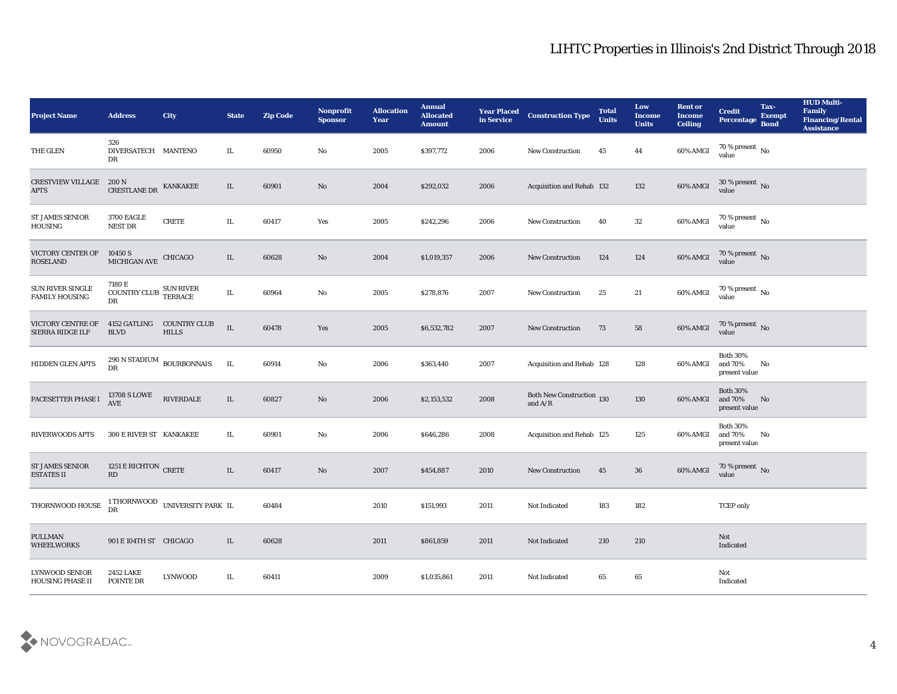| <b>Project Name</b>                              | <b>Address</b>                                     | <b>City</b>                         | <b>State</b> | <b>Zip Code</b> | Nonprofit<br><b>Sponsor</b> | <b>Allocation</b><br>Year | <b>Annual</b><br><b>Allocated</b><br><b>Amount</b> | <b>Year Placed</b><br>in Service | <b>Construction Type</b>                                                           | <b>Total</b><br><b>Units</b> | Low<br><b>Income</b><br><b>Units</b> | <b>Rent or</b><br><b>Income</b><br><b>Ceiling</b> | <b>Credit</b><br>Percentage                 | Tax-<br><b>Exempt</b><br><b>Bond</b> | <b>HUD Multi-</b><br>Family<br><b>Financing/Rental</b><br><b>Assistance</b> |
|--------------------------------------------------|----------------------------------------------------|-------------------------------------|--------------|-----------------|-----------------------------|---------------------------|----------------------------------------------------|----------------------------------|------------------------------------------------------------------------------------|------------------------------|--------------------------------------|---------------------------------------------------|---------------------------------------------|--------------------------------------|-----------------------------------------------------------------------------|
| THE GLEN                                         | 326<br>DIVERSATECH MANTENO<br>DR                   |                                     | IL           | 60950           | No                          | 2005                      | \$397,772                                          | 2006                             | New Construction                                                                   | 45                           | 44                                   | 60% AMGI                                          | $70\,\%$ present $\,$ No value              |                                      |                                                                             |
| <b>CRESTVIEW VILLAGE</b><br><b>APTS</b>          | 200 N<br>CRESTLANE DR                              | <b>KANKAKEE</b>                     | IL           | 60901           | No                          | 2004                      | \$292,032                                          | 2006                             | Acquisition and Rehab 132                                                          |                              | 132                                  | 60% AMGI                                          | $30\,\%$ present $\,$ No value              |                                      |                                                                             |
| <b>ST JAMES SENIOR</b><br><b>HOUSING</b>         | <b>3700 EAGLE</b><br>NEST DR                       | <b>CRETE</b>                        | IL           | 60417           | Yes                         | 2005                      | \$242,296                                          | 2006                             | New Construction                                                                   | 40                           | 32                                   | 60% AMGI                                          | $70\,\%$ present $\,$ No value              |                                      |                                                                             |
| VICTORY CENTER OF<br><b>ROSELAND</b>             | 10450 S<br>MICHIGAN AVE                            | <b>CHICAGO</b>                      | IL           | 60628           | No                          | 2004                      | \$1,019,357                                        | 2006                             | <b>New Construction</b>                                                            | 124                          | 124                                  | 60% AMGI                                          | $70\,\%$ present $\,$ No value              |                                      |                                                                             |
| SUN RIVER SINGLE<br><b>FAMILY HOUSING</b>        | 7180 E<br>$\textsc{COUNTRY}$ $\textsc{CLUB}$<br>DR | SUN RIVER<br>TERRACE                | IL           | 60964           | No                          | 2005                      | \$278,876                                          | 2007                             | <b>New Construction</b>                                                            | 25                           | 21                                   | 60% AMGI                                          | $70\,\%$ present $\,$ No value              |                                      |                                                                             |
| VICTORY CENTRE OF<br>SIERRA RIDGE ILF            | 4152 GATLING<br><b>BLVD</b>                        | <b>COUNTRY CLUB</b><br><b>HILLS</b> | $\;$ IL      | 60478           | Yes                         | 2005                      | \$6,532,782                                        | 2007                             | New Construction                                                                   | 73                           | 58                                   | 60% AMGI                                          | $70\,\%$ present $\,$ No value              |                                      |                                                                             |
| HIDDEN GLEN APTS                                 | DR                                                 | $290$ N STADIUM $\,$ BOURBONNAIS    | IL           | 60914           | No                          | 2006                      | \$363,440                                          | 2007                             | Acquisition and Rehab 128                                                          |                              | 128                                  | 60% AMGI                                          | <b>Both 30%</b><br>and 70%<br>present value | No                                   |                                                                             |
| PACESETTER PHASE I                               | 13708 S LOWE<br>AVE                                | RIVERDALE                           | $\rm IL$     | 60827           | No                          | 2006                      | \$2,153,532                                        | 2008                             | Both New Construction 130<br>and $\ensuremath{\mathrm{A}}/\ensuremath{\mathrm{R}}$ |                              | 130                                  | 60% AMGI                                          | <b>Both 30%</b><br>and 70%<br>present value | No                                   |                                                                             |
| <b>RIVERWOODS APTS</b>                           | <b>300 E RIVER ST KANKAKEE</b>                     |                                     | IL           | 60901           | $\rm\thinspace No$          | 2006                      | \$646,286                                          | 2008                             | Acquisition and Rehab 125                                                          |                              | 125                                  | 60% AMGI                                          | <b>Both 30%</b><br>and 70%<br>present value | No                                   |                                                                             |
| <b>ST JAMES SENIOR</b><br><b>ESTATES II</b>      | 1251 E RICHTON CRETE<br>RD                         |                                     | $\rm IL$     | 60417           | $\mathbf{N}\mathbf{o}$      | 2007                      | \$454,887                                          | 2010                             | <b>New Construction</b>                                                            | 45                           | 36                                   | 60% AMGI                                          | $70\,\%$ present $\,$ No value              |                                      |                                                                             |
| THORNWOOD HOUSE                                  | DR                                                 | 1 THORNWOOD UNIVERSITY PARK IL      |              | 60484           |                             | 2010                      | \$151,993                                          | 2011                             | Not Indicated                                                                      | 183                          | 182                                  |                                                   | <b>TCEP</b> only                            |                                      |                                                                             |
| <b>PULLMAN</b><br><b>WHEELWORKS</b>              | 901 E 104TH ST CHICAGO                             |                                     | IL           | 60628           |                             | 2011                      | \$861,859                                          | 2011                             | Not Indicated                                                                      | 210                          | 210                                  |                                                   | $\operatorname{\bf Not}$<br>Indicated       |                                      |                                                                             |
| <b>LYNWOOD SENIOR</b><br><b>HOUSING PHASE II</b> | 2452 LAKE<br>POINTE DR                             | <b>LYNWOOD</b>                      | IL           | 60411           |                             | 2009                      | \$1,035,861                                        | 2011                             | Not Indicated                                                                      | 65                           | $\bf 65$                             |                                                   | Not<br>Indicated                            |                                      |                                                                             |

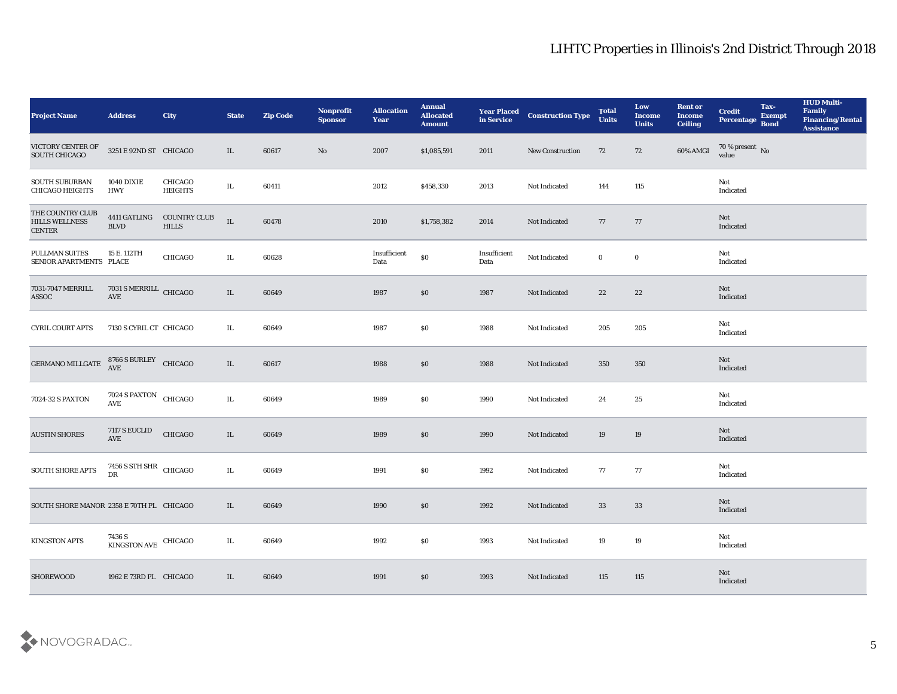| <b>Project Name</b>                                        | <b>Address</b>                                                                        | City                                | <b>State</b> | <b>Zip Code</b> | Nonprofit<br><b>Sponsor</b> | <b>Allocation</b><br><b>Year</b>            | <b>Annual</b><br><b>Allocated</b><br><b>Amount</b> | <b>Year Placed</b><br>in Service | <b>Construction Type</b> | <b>Total</b><br><b>Units</b> | Low<br><b>Income</b><br><b>Units</b> | <b>Rent or</b><br><b>Income</b><br><b>Ceiling</b> | <b>Credit</b><br>Percentage Bond | Tax-<br><b>Exempt</b> | <b>HUD Multi-</b><br>Family<br><b>Financing/Rental</b><br><b>Assistance</b> |
|------------------------------------------------------------|---------------------------------------------------------------------------------------|-------------------------------------|--------------|-----------------|-----------------------------|---------------------------------------------|----------------------------------------------------|----------------------------------|--------------------------|------------------------------|--------------------------------------|---------------------------------------------------|----------------------------------|-----------------------|-----------------------------------------------------------------------------|
| VICTORY CENTER OF<br>SOUTH CHICAGO                         | 3251 E 92ND ST CHICAGO                                                                |                                     | IL           | 60617           | No                          | 2007                                        | \$1,085,591                                        | 2011                             | <b>New Construction</b>  | 72                           | 72                                   | 60% AMGI                                          | $70\,\%$ present $\,$ No value   |                       |                                                                             |
| SOUTH SUBURBAN<br><b>CHICAGO HEIGHTS</b>                   | <b>1040 DIXIE</b><br><b>HWY</b>                                                       | CHICAGO<br><b>HEIGHTS</b>           | IL           | 60411           |                             | 2012                                        | \$458,330                                          | 2013                             | Not Indicated            | 144                          | 115                                  |                                                   | Not<br>Indicated                 |                       |                                                                             |
| THE COUNTRY CLUB<br><b>HILLS WELLNESS</b><br><b>CENTER</b> | 4411 GATLING<br><b>BLVD</b>                                                           | <b>COUNTRY CLUB</b><br><b>HILLS</b> | $\rm IL$     | 60478           |                             | 2010                                        | \$1,758,382                                        | 2014                             | Not Indicated            | 77                           | 77                                   |                                                   | <b>Not</b><br>Indicated          |                       |                                                                             |
| PULLMAN SUITES<br>SENIOR APARTMENTS PLACE                  | 15 E. 112TH                                                                           | CHICAGO                             | IL           | 60628           |                             | $\label{lem:optimal} In sufficient$<br>Data | $\$0$                                              | Insufficient<br>Data             | Not Indicated            | $\bf{0}$                     | $\bf{0}$                             |                                                   | Not<br>Indicated                 |                       |                                                                             |
| 7031-7047 MERRILL<br>ASSOC                                 | $7031\,$ S MERRILL $\,$ CHICAGO AVE                                                   |                                     | $\rm IL$     | 60649           |                             | 1987                                        | \$0                                                | 1987                             | Not Indicated            | 22                           | 22                                   |                                                   | Not<br>Indicated                 |                       |                                                                             |
| <b>CYRIL COURT APTS</b>                                    | 7130 S CYRIL CT CHICAGO                                                               |                                     | IL           | 60649           |                             | 1987                                        | \$0                                                | 1988                             | Not Indicated            | 205                          | 205                                  |                                                   | Not<br>Indicated                 |                       |                                                                             |
| <b>GERMANO MILLGATE</b>                                    | $\begin{array}{ll} 8766\text{ S BURLEY} & \text{CHICAGO} \\ \text{AVE} & \end{array}$ |                                     | $\rm IL$     | 60617           |                             | 1988                                        | $\$0$                                              | 1988                             | Not Indicated            | 350                          | 350                                  |                                                   | Not<br>Indicated                 |                       |                                                                             |
| 7024-32 S PAXTON                                           | 7024 S PAXTON CHICAGO<br>AVE                                                          |                                     | IL           | 60649           |                             | 1989                                        | \$0                                                | 1990                             | Not Indicated            | 24                           | 25                                   |                                                   | Not<br>Indicated                 |                       |                                                                             |
| <b>AUSTIN SHORES</b>                                       | 7117 S EUCLID<br>$\operatorname{AVE}$                                                 | CHICAGO                             | $\rm IL$     | 60649           |                             | 1989                                        | \$0                                                | 1990                             | Not Indicated            | 19                           | 19                                   |                                                   | Not<br>Indicated                 |                       |                                                                             |
| SOUTH SHORE APTS                                           | 7456 S STH SHR CHICAGO<br>DR                                                          |                                     | IL           | 60649           |                             | 1991                                        | \$0                                                | 1992                             | Not Indicated            | 77                           | 77                                   |                                                   | Not<br>Indicated                 |                       |                                                                             |
| SOUTH SHORE MANOR 2358 E 70TH PL CHICAGO                   |                                                                                       |                                     | IL           | 60649           |                             | 1990                                        | \$0                                                | 1992                             | Not Indicated            | 33                           | 33                                   |                                                   | Not<br>Indicated                 |                       |                                                                             |
| <b>KINGSTON APTS</b>                                       | $7436\, \mathrm{S}$ KINGSTON AVE CHICAGO                                              |                                     | $\rm IL$     | 60649           |                             | 1992                                        | $\$0$                                              | 1993                             | Not Indicated            | 19                           | $19\,$                               |                                                   | Not<br>Indicated                 |                       |                                                                             |
| <b>SHOREWOOD</b>                                           | 1962 E 73RD PL CHICAGO                                                                |                                     | IL           | 60649           |                             | 1991                                        | $\$0$                                              | 1993                             | Not Indicated            | 115                          | 115                                  |                                                   | <b>Not</b><br>Indicated          |                       |                                                                             |

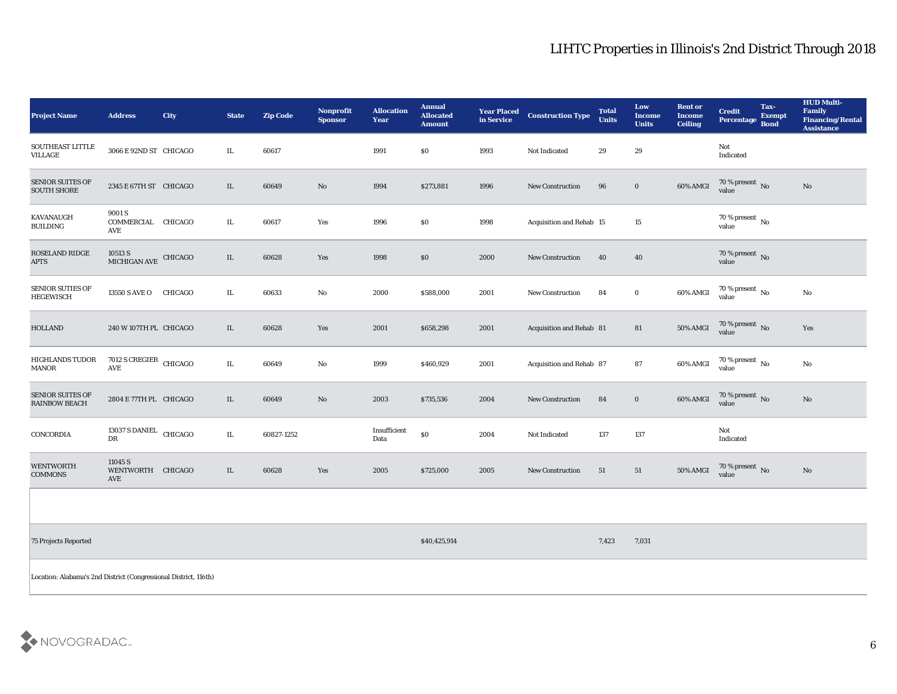| <b>Project Name</b>                                              | <b>Address</b>                              | <b>City</b> | <b>State</b> | <b>Zip Code</b> | Nonprofit<br><b>Sponsor</b> | <b>Allocation</b><br><b>Year</b>            | <b>Annual</b><br><b>Allocated</b><br><b>Amount</b> | <b>Year Placed</b><br>in Service | <b>Construction Type</b> | <b>Total</b><br><b>Units</b> | Low<br><b>Income</b><br><b>Units</b> | <b>Rent or</b><br><b>Income</b><br><b>Ceiling</b> | <b>Credit</b><br>Percentage Bond  | Tax-<br><b>Exempt</b> | <b>HUD Multi-</b><br>Family<br><b>Financing/Rental</b><br><b>Assistance</b> |
|------------------------------------------------------------------|---------------------------------------------|-------------|--------------|-----------------|-----------------------------|---------------------------------------------|----------------------------------------------------|----------------------------------|--------------------------|------------------------------|--------------------------------------|---------------------------------------------------|-----------------------------------|-----------------------|-----------------------------------------------------------------------------|
| SOUTHEAST LITTLE<br>VILLAGE                                      | 3066 E 92ND ST CHICAGO                      |             | IL           | 60617           |                             | 1991                                        | $\$0$                                              | 1993                             | Not Indicated            | 29                           | 29                                   |                                                   | Not<br>Indicated                  |                       |                                                                             |
| <b>SENIOR SUITES OF</b><br><b>SOUTH SHORE</b>                    | 2345 E 67TH ST CHICAGO                      |             | IL           | 60649           | No                          | 1994                                        | \$273,881                                          | 1996                             | <b>New Construction</b>  | 96                           | $\bf{0}$                             | 60% AMGI                                          | $70$ % present $\,$ No $\,$ value |                       | $\mathbf{N}\mathbf{o}$                                                      |
| KAVANAUGH<br><b>BUILDING</b>                                     | 9001 S<br>COMMERCIAL CHICAGO<br>AVE         |             | IL           | 60617           | Yes                         | 1996                                        | \$0                                                | 1998                             | Acquisition and Rehab 15 |                              | 15                                   |                                                   | 70 % present No<br>value          |                       |                                                                             |
| ROSELAND RIDGE<br><b>APTS</b>                                    | $10513$ S $$\,$ CHICAGO $$\,$ CHICAGO $$\,$ |             | $\;$ IL      | 60628           | Yes                         | 1998                                        | \$0                                                | 2000                             | <b>New Construction</b>  | 40                           | 40                                   |                                                   | $70$ % present $\,$ No value      |                       |                                                                             |
| <b>SENIOR SUTIES OF</b><br><b>HEGEWISCH</b>                      | 13550 S AVE O                               | CHICAGO     | $\rm IL$     | 60633           | No                          | 2000                                        | \$588,000                                          | 2001                             | New Construction         | 84                           | $\bf{0}$                             | 60% AMGI                                          | $70\,\%$ present $\,$ No value    |                       | $\mathbf{N}\mathbf{o}$                                                      |
| <b>HOLLAND</b>                                                   | 240 W 107TH PL CHICAGO                      |             | IL           | 60628           | Yes                         | 2001                                        | \$658,298                                          | 2001                             | Acquisition and Rehab 81 |                              | 81                                   | 50% AMGI                                          | $70\,\%$ present $\,$ No value    |                       | Yes                                                                         |
| <b>HIGHLANDS TUDOR</b><br><b>MANOR</b>                           | 7012 S CREGIER CHICAGO<br>AVE               |             | $\rm IL$     | 60649           | No                          | 1999                                        | \$460,929                                          | 2001                             | Acquisition and Rehab 87 |                              | 87                                   | 60% AMGI                                          | $\frac{70\%}{value}$ No           |                       | $\mathbf{N}\mathbf{o}$                                                      |
| <b>SENIOR SUITES OF</b><br><b>RAINBOW BEACH</b>                  | 2804 E 77TH PL CHICAGO                      |             | IL           | 60649           | No                          | 2003                                        | \$735,536                                          | 2004                             | <b>New Construction</b>  | 84                           | $\bf{0}$                             | $60\%$ AMGI                                       | $70\,\%$ present $\,$ No value    |                       | $\mathbf{N}\mathbf{o}$                                                      |
| CONCORDIA                                                        | 13037 S DANIEL CHICAGO<br>DR                |             | $\rm IL$     | 60827-1252      |                             | $\label{lem:optimal} In sufficient$<br>Data | \$0                                                | 2004                             | Not Indicated            | 137                          | 137                                  |                                                   | Not<br>Indicated                  |                       |                                                                             |
| <b>WENTWORTH</b><br>COMMONS                                      | 11045 S<br>WENTWORTH CHICAGO<br>AVE         |             | IL           | 60628           | Yes                         | 2005                                        | \$725,000                                          | 2005                             | <b>New Construction</b>  | 51                           | 51                                   | 50% AMGI                                          | $70$ % present $\,$ No $\,$ value |                       | $\mathbf {No}$                                                              |
|                                                                  |                                             |             |              |                 |                             |                                             |                                                    |                                  |                          |                              |                                      |                                                   |                                   |                       |                                                                             |
| 75 Projects Reported                                             |                                             |             |              |                 |                             |                                             | \$40,425,914                                       |                                  |                          | 7,423                        | 7,031                                |                                                   |                                   |                       |                                                                             |
| Location: Alabama's 2nd District (Congressional District, 116th) |                                             |             |              |                 |                             |                                             |                                                    |                                  |                          |                              |                                      |                                                   |                                   |                       |                                                                             |